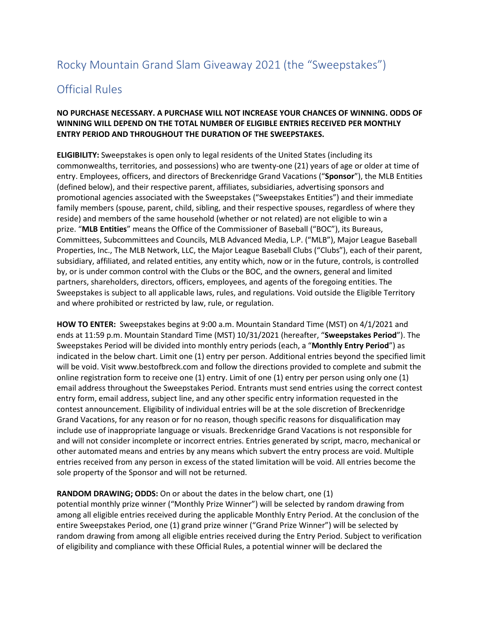## Rocky Mountain Grand Slam Giveaway 2021 (the "Sweepstakes")

## Official Rules

## **NO PURCHASE NECESSARY. A PURCHASE WILL NOT INCREASE YOUR CHANCES OF WINNING. ODDS OF WINNING WILL DEPEND ON THE TOTAL NUMBER OF ELIGIBLE ENTRIES RECEIVED PER MONTHLY ENTRY PERIOD AND THROUGHOUT THE DURATION OF THE SWEEPSTAKES.**

**ELIGIBILITY:** Sweepstakes is open only to legal residents of the United States (including its commonwealths, territories, and possessions) who are twenty-one (21) years of age or older at time of entry. Employees, officers, and directors of Breckenridge Grand Vacations ("**Sponsor**"), the MLB Entities (defined below), and their respective parent, affiliates, subsidiaries, advertising sponsors and promotional agencies associated with the Sweepstakes ("Sweepstakes Entities") and their immediate family members (spouse, parent, child, sibling, and their respective spouses, regardless of where they reside) and members of the same household (whether or not related) are not eligible to win a prize. "**MLB Entities**" means the Office of the Commissioner of Baseball ("BOC"), its Bureaus, Committees, Subcommittees and Councils, MLB Advanced Media, L.P. ("MLB"), Major League Baseball Properties, Inc., The MLB Network, LLC, the Major League Baseball Clubs ("Clubs"), each of their parent, subsidiary, affiliated, and related entities, any entity which, now or in the future, controls, is controlled by, or is under common control with the Clubs or the BOC, and the owners, general and limited partners, shareholders, directors, officers, employees, and agents of the foregoing entities. The Sweepstakes is subject to all applicable laws, rules, and regulations. Void outside the Eligible Territory and where prohibited or restricted by law, rule, or regulation.

**HOW TO ENTER:** Sweepstakes begins at 9:00 a.m. Mountain Standard Time (MST) on 4/1/2021 and ends at 11:59 p.m. Mountain Standard Time (MST) 10/31/2021 (hereafter, "**Sweepstakes Period**"). The Sweepstakes Period will be divided into monthly entry periods (each, a "**Monthly Entry Period**") as indicated in the below chart. Limit one (1) entry per person. Additional entries beyond the specified limit will be void. Visit www.bestofbreck.com and follow the directions provided to complete and submit the online registration form to receive one (1) entry. Limit of one (1) entry per person using only one (1) email address throughout the Sweepstakes Period. Entrants must send entries using the correct contest entry form, email address, subject line, and any other specific entry information requested in the contest announcement. Eligibility of individual entries will be at the sole discretion of Breckenridge Grand Vacations, for any reason or for no reason, though specific reasons for disqualification may include use of inappropriate language or visuals. Breckenridge Grand Vacations is not responsible for and will not consider incomplete or incorrect entries. Entries generated by script, macro, mechanical or other automated means and entries by any means which subvert the entry process are void. Multiple entries received from any person in excess of the stated limitation will be void. All entries become the sole property of the Sponsor and will not be returned.

## **RANDOM DRAWING; ODDS:** On or about the dates in the below chart, one (1)

potential monthly prize winner ("Monthly Prize Winner") will be selected by random drawing from among all eligible entries received during the applicable Monthly Entry Period. At the conclusion of the entire Sweepstakes Period, one (1) grand prize winner ("Grand Prize Winner") will be selected by random drawing from among all eligible entries received during the Entry Period. Subject to verification of eligibility and compliance with these Official Rules, a potential winner will be declared the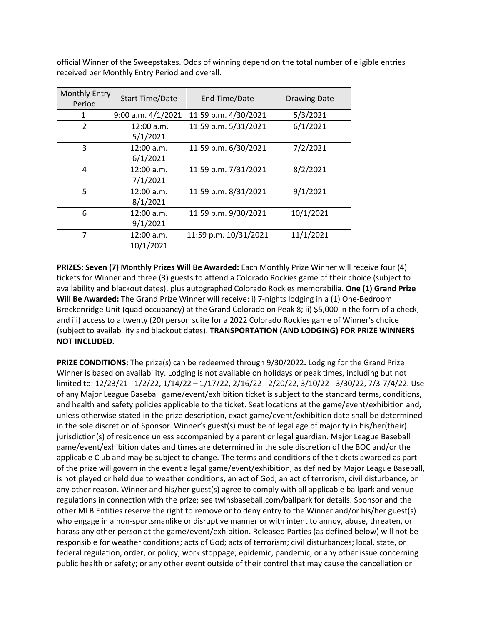official Winner of the Sweepstakes. Odds of winning depend on the total number of eligible entries received per Monthly Entry Period and overall.

| <b>Monthly Entry</b><br>Period | <b>Start Time/Date</b>  | End Time/Date         | <b>Drawing Date</b> |
|--------------------------------|-------------------------|-----------------------|---------------------|
| 1                              | $9:00$ a.m. $4/1/2021$  | 11:59 p.m. 4/30/2021  | 5/3/2021            |
| $\overline{\phantom{a}}$       | 12:00 a.m.<br>5/1/2021  | 11:59 p.m. 5/31/2021  | 6/1/2021            |
| 3                              | 12:00 a.m.<br>6/1/2021  | 11:59 p.m. 6/30/2021  | 7/2/2021            |
| 4                              | 12:00 a.m.<br>7/1/2021  | 11:59 p.m. 7/31/2021  | 8/2/2021            |
| 5                              | 12:00 a.m.<br>8/1/2021  | 11:59 p.m. 8/31/2021  | 9/1/2021            |
| 6                              | 12:00 a.m.<br>9/1/2021  | 11:59 p.m. 9/30/2021  | 10/1/2021           |
| 7                              | 12:00 a.m.<br>10/1/2021 | 11:59 p.m. 10/31/2021 | 11/1/2021           |

**PRIZES: Seven (7) Monthly Prizes Will Be Awarded:** Each Monthly Prize Winner will receive four (4) tickets for Winner and three (3) guests to attend a Colorado Rockies game of their choice (subject to availability and blackout dates), plus autographed Colorado Rockies memorabilia. **One (1) Grand Prize Will Be Awarded:** The Grand Prize Winner will receive: i) 7-nights lodging in a (1) One-Bedroom Breckenridge Unit (quad occupancy) at the Grand Colorado on Peak 8; ii) \$5,000 in the form of a check; and iii) access to a twenty (20) person suite for a 2022 Colorado Rockies game of Winner's choice (subject to availability and blackout dates). **TRANSPORTATION (AND LODGING) FOR PRIZE WINNERS NOT INCLUDED.**

**PRIZE CONDITIONS:** The prize(s) can be redeemed through 9/30/2022**.** Lodging for the Grand Prize Winner is based on availability. Lodging is not available on holidays or peak times, including but not limited to: 12/23/21 - 1/2/22, 1/14/22 – 1/17/22, 2/16/22 - 2/20/22, 3/10/22 - 3/30/22, 7/3-7/4/22. Use of any Major League Baseball game/event/exhibition ticket is subject to the standard terms, conditions, and health and safety policies applicable to the ticket. Seat locations at the game/event/exhibition and, unless otherwise stated in the prize description, exact game/event/exhibition date shall be determined in the sole discretion of Sponsor. Winner's guest(s) must be of legal age of majority in his/her(their) jurisdiction(s) of residence unless accompanied by a parent or legal guardian. Major League Baseball game/event/exhibition dates and times are determined in the sole discretion of the BOC and/or the applicable Club and may be subject to change. The terms and conditions of the tickets awarded as part of the prize will govern in the event a legal game/event/exhibition, as defined by Major League Baseball, is not played or held due to weather conditions, an act of God, an act of terrorism, civil disturbance, or any other reason. Winner and his/her guest(s) agree to comply with all applicable ballpark and venue regulations in connection with the prize; see twinsbaseball.com/ballpark for details. Sponsor and the other MLB Entities reserve the right to remove or to deny entry to the Winner and/or his/her guest(s) who engage in a non-sportsmanlike or disruptive manner or with intent to annoy, abuse, threaten, or harass any other person at the game/event/exhibition. Released Parties (as defined below) will not be responsible for weather conditions; acts of God; acts of terrorism; civil disturbances; local, state, or federal regulation, order, or policy; work stoppage; epidemic, pandemic, or any other issue concerning public health or safety; or any other event outside of their control that may cause the cancellation or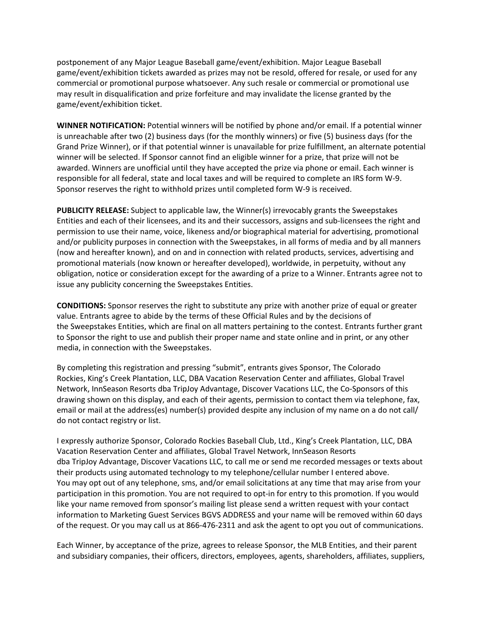postponement of any Major League Baseball game/event/exhibition. Major League Baseball game/event/exhibition tickets awarded as prizes may not be resold, offered for resale, or used for any commercial or promotional purpose whatsoever. Any such resale or commercial or promotional use may result in disqualification and prize forfeiture and may invalidate the license granted by the game/event/exhibition ticket.

**WINNER NOTIFICATION:** Potential winners will be notified by phone and/or email. If a potential winner is unreachable after two (2) business days (for the monthly winners) or five (5) business days (for the Grand Prize Winner), or if that potential winner is unavailable for prize fulfillment, an alternate potential winner will be selected. If Sponsor cannot find an eligible winner for a prize, that prize will not be awarded. Winners are unofficial until they have accepted the prize via phone or email. Each winner is responsible for all federal, state and local taxes and will be required to complete an IRS form W-9. Sponsor reserves the right to withhold prizes until completed form W-9 is received.

**PUBLICITY RELEASE:** Subject to applicable law, the Winner(s) irrevocably grants the Sweepstakes Entities and each of their licensees, and its and their successors, assigns and sub-licensees the right and permission to use their name, voice, likeness and/or biographical material for advertising, promotional and/or publicity purposes in connection with the Sweepstakes, in all forms of media and by all manners (now and hereafter known), and on and in connection with related products, services, advertising and promotional materials (now known or hereafter developed), worldwide, in perpetuity, without any obligation, notice or consideration except for the awarding of a prize to a Winner. Entrants agree not to issue any publicity concerning the Sweepstakes Entities.

**CONDITIONS:** Sponsor reserves the right to substitute any prize with another prize of equal or greater value. Entrants agree to abide by the terms of these Official Rules and by the decisions of the Sweepstakes Entities, which are final on all matters pertaining to the contest. Entrants further grant to Sponsor the right to use and publish their proper name and state online and in print, or any other media, in connection with the Sweepstakes.

By completing this registration and pressing "submit", entrants gives Sponsor, The Colorado Rockies, King's Creek Plantation, LLC, DBA Vacation Reservation Center and affiliates, Global Travel Network, InnSeason Resorts dba TripJoy Advantage, Discover Vacations LLC, the Co-Sponsors of this drawing shown on this display, and each of their agents, permission to contact them via telephone, fax, email or mail at the address(es) number(s) provided despite any inclusion of my name on a do not call/ do not contact registry or list.

I expressly authorize Sponsor, Colorado Rockies Baseball Club, Ltd., King's Creek Plantation, LLC, DBA Vacation Reservation Center and affiliates, Global Travel Network, InnSeason Resorts dba TripJoy Advantage, Discover Vacations LLC, to call me or send me recorded messages or texts about their products using automated technology to my telephone/cellular number I entered above. You may opt out of any telephone, sms, and/or email solicitations at any time that may arise from your participation in this promotion. You are not required to opt-in for entry to this promotion. If you would like your name removed from sponsor's mailing list please send a written request with your contact information to Marketing Guest Services BGVS ADDRESS and your name will be removed within 60 days of the request. Or you may call us at 866-476-2311 and ask the agent to opt you out of communications.

Each Winner, by acceptance of the prize, agrees to release Sponsor, the MLB Entities, and their parent and subsidiary companies, their officers, directors, employees, agents, shareholders, affiliates, suppliers,